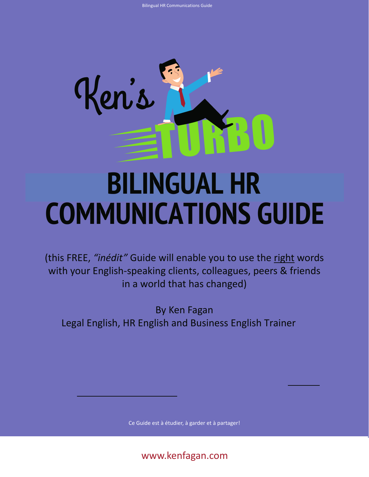

# **BILINGUAL HR COMMUNICATIONS GUIDE**

(this FREE, *"inédit"* Guide will enable you to use the right words with your English-speaking clients, colleagues, peers & friends in a world that has changed)

By Ken Fagan Legal English, HR English and Business English Trainer

Ce Guide est à étudier, à garder et à partager!

www.kenfagan.com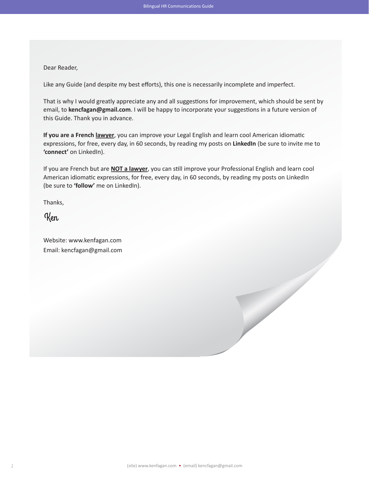# Dear Reader,

Like any Guide (and despite my best efforts), this one is necessarily incomplete and imperfect.

That is why I would greatly appreciate any and all suggestions for improvement, which should be sent by email, to **kencfagan@gmail.com**. I will be happy to incorporate your suggestions in a future version of this Guide. Thank you in advance.

**If you are a French lawyer**, you can improve your Legal English and learn cool American idiomatic expressions, for free, every day, in 60 seconds, by reading my posts on **LinkedIn** (be sure to invite me to **'connect'** on LinkedIn).

If you are French but are **NOT a lawyer**, you can still improve your Professional English and learn cool American idiomatic expressions, for free, every day, in 60 seconds, by reading my posts on LinkedIn (be sure to **'follow'** me on LinkedIn).

Thanks,

Ken

Website: www.kenfagan.com Email: kencfagan@gmail.com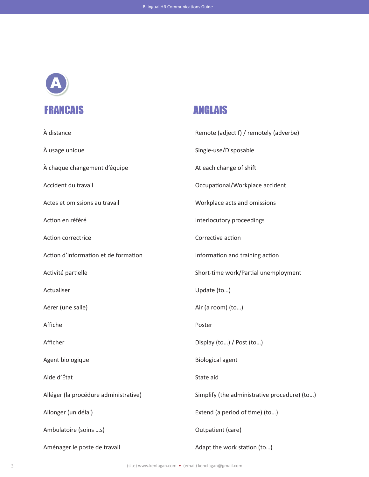

| À distance                            | Remote (adjectif) / remotely (adverbe)       |
|---------------------------------------|----------------------------------------------|
| À usage unique                        | Single-use/Disposable                        |
| À chaque changement d'équipe          | At each change of shift                      |
| Accident du travail                   | Occupational/Workplace accident              |
| Actes et omissions au travail         | Workplace acts and omissions                 |
| Action en référé                      | Interlocutory proceedings                    |
| Action correctrice                    | Corrective action                            |
| Action d'information et de formation  | Information and training action              |
| Activité partielle                    | Short-time work/Partial unemployment         |
| Actualiser                            | Update (to)                                  |
| Aérer (une salle)                     | Air (a room) (to)                            |
| Affiche                               | Poster                                       |
| Afficher                              | Display (to) / Post (to)                     |
| Agent biologique                      | <b>Biological agent</b>                      |
| Aide d'État                           | State aid                                    |
| Alléger (la procédure administrative) | Simplify (the administrative procedure) (to) |
| Allonger (un délai)                   | Extend (a period of time) (to)               |
| Ambulatoire (soins s)                 | Outpatient (care)                            |
| Aménager le poste de travail          | Adapt the work station (to)                  |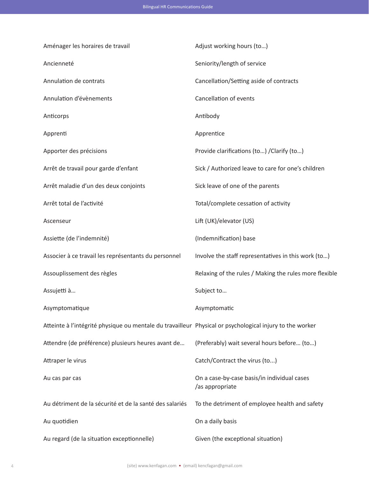| Aménager les horaires de travail                                                                         | Adjust working hours (to)                                      |
|----------------------------------------------------------------------------------------------------------|----------------------------------------------------------------|
| Ancienneté                                                                                               | Seniority/length of service                                    |
| Annulation de contrats                                                                                   | Cancellation/Setting aside of contracts                        |
| Annulation d'évènements                                                                                  | Cancellation of events                                         |
| Anticorps                                                                                                | Antibody                                                       |
| Apprenti                                                                                                 | Apprentice                                                     |
| Apporter des précisions                                                                                  | Provide clarifications (to) / Clarify (to)                     |
| Arrêt de travail pour garde d'enfant                                                                     | Sick / Authorized leave to care for one's children             |
| Arrêt maladie d'un des deux conjoints                                                                    | Sick leave of one of the parents                               |
| Arrêt total de l'activité                                                                                | Total/complete cessation of activity                           |
| Ascenseur                                                                                                | Lift (UK)/elevator (US)                                        |
| Assiette (de l'indemnité)                                                                                | (Indemnification) base                                         |
| Associer à ce travail les représentants du personnel                                                     | Involve the staff representatives in this work (to)            |
| Assouplissement des règles                                                                               | Relaxing of the rules / Making the rules more flexible         |
| Assujetti à                                                                                              | Subject to                                                     |
| Asymptomatique                                                                                           | Asymptomatic                                                   |
| Atteinte à l'intégrité physique ou mentale du travailleur Physical or psychological injury to the worker |                                                                |
| Attendre (de préférence) plusieurs heures avant de                                                       | (Preferably) wait several hours before (to)                    |
| Attraper le virus                                                                                        | Catch/Contract the virus (to)                                  |
| Au cas par cas                                                                                           | On a case-by-case basis/in individual cases<br>/as appropriate |
| Au détriment de la sécurité et de la santé des salariés                                                  | To the detriment of employee health and safety                 |
| Au quotidien                                                                                             | On a daily basis                                               |
| Au regard (de la situation exceptionnelle)                                                               | Given (the exceptional situation)                              |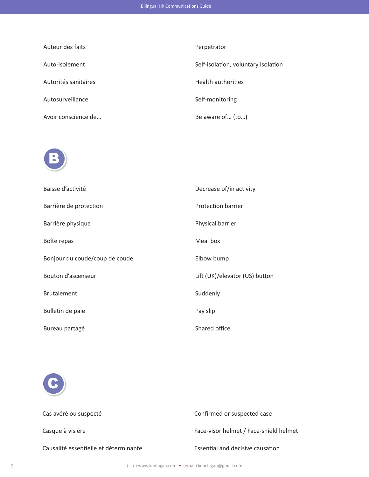| Auteur des faits     | Perpetrator                         |
|----------------------|-------------------------------------|
| Auto-isolement       | Self-isolation, voluntary isolation |
| Autorités sanitaires | <b>Health authorities</b>           |
| Autosurveillance     | Self-monitoring                     |
| Avoir conscience de  | Be aware of (to)                    |



| Baisse d'activité              | Decrease of/in activity        |
|--------------------------------|--------------------------------|
| Barrière de protection         | Protection barrier             |
| Barrière physique              | Physical barrier               |
| Boîte repas                    | Meal box                       |
| Bonjour du coude/coup de coude | Elbow bump                     |
| Bouton d'ascenseur             | Lift (UK)/elevator (US) button |
| <b>Brutalement</b>             | Suddenly                       |
| Bulletin de paie               | Pay slip                       |
| Bureau partagé                 | Shared office                  |
|                                |                                |



Cas avéré ou suspecté Confirmed or suspected case Casque à visière Face-visor helmet / Face-shield helmet Causalité essentielle et déterminante Essential and decisive causation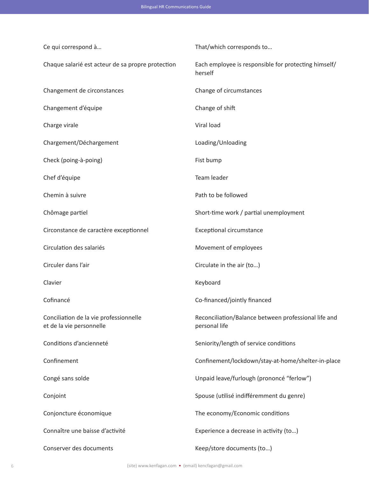| Ce qui correspond à                                                | That/which corresponds to                                             |
|--------------------------------------------------------------------|-----------------------------------------------------------------------|
| Chaque salarié est acteur de sa propre protection                  | Each employee is responsible for protecting himself/<br>herself       |
| Changement de circonstances                                        | Change of circumstances                                               |
| Changement d'équipe                                                | Change of shift                                                       |
| Charge virale                                                      | Viral load                                                            |
| Chargement/Déchargement                                            | Loading/Unloading                                                     |
| Check (poing-à-poing)                                              | Fist bump                                                             |
| Chef d'équipe                                                      | Team leader                                                           |
| Chemin à suivre                                                    | Path to be followed                                                   |
| Chômage partiel                                                    | Short-time work / partial unemployment                                |
| Circonstance de caractère exceptionnel                             | <b>Exceptional circumstance</b>                                       |
| Circulation des salariés                                           | Movement of employees                                                 |
| Circuler dans l'air                                                | Circulate in the air (to)                                             |
| Clavier                                                            | Keyboard                                                              |
| Cofinancé                                                          | Co-financed/jointly financed                                          |
| Conciliation de la vie professionnelle<br>et de la vie personnelle | Reconciliation/Balance between professional life and<br>personal life |
| Conditions d'ancienneté                                            | Seniority/length of service conditions                                |
| Confinement                                                        | Confinement/lockdown/stay-at-home/shelter-in-place                    |
| Congé sans solde                                                   | Unpaid leave/furlough (prononcé "ferlow")                             |
| Conjoint                                                           | Spouse (utilisé indifféremment du genre)                              |
| Conjoncture économique                                             | The economy/Economic conditions                                       |
| Connaître une baisse d'activité                                    | Experience a decrease in activity (to)                                |
| Conserver des documents                                            | Keep/store documents (to)                                             |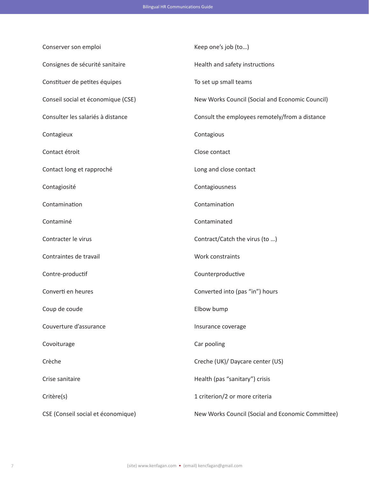| Conserver son emploi               | Keep one's job (to)                               |
|------------------------------------|---------------------------------------------------|
| Consignes de sécurité sanitaire    | Health and safety instructions                    |
| Constituer de petites équipes      | To set up small teams                             |
| Conseil social et économique (CSE) | New Works Council (Social and Economic Council)   |
| Consulter les salariés à distance  | Consult the employees remotely/from a distance    |
| Contagieux                         | Contagious                                        |
| Contact étroit                     | Close contact                                     |
| Contact long et rapproché          | Long and close contact                            |
| Contagiosité                       | Contagiousness                                    |
| Contamination                      | Contamination                                     |
| Contaminé                          | Contaminated                                      |
| Contracter le virus                | Contract/Catch the virus (to )                    |
| Contraintes de travail             | Work constraints                                  |
| Contre-productif                   | Counterproductive                                 |
| Converti en heures                 | Converted into (pas "in") hours                   |
| Coup de coude                      | Elbow bump                                        |
| Couverture d'assurance             | Insurance coverage                                |
| Covoiturage                        | Car pooling                                       |
| Crèche                             | Creche (UK)/ Daycare center (US)                  |
| Crise sanitaire                    | Health (pas "sanitary") crisis                    |
| Critère(s)                         | 1 criterion/2 or more criteria                    |
| CSE (Conseil social et économique) | New Works Council (Social and Economic Committee) |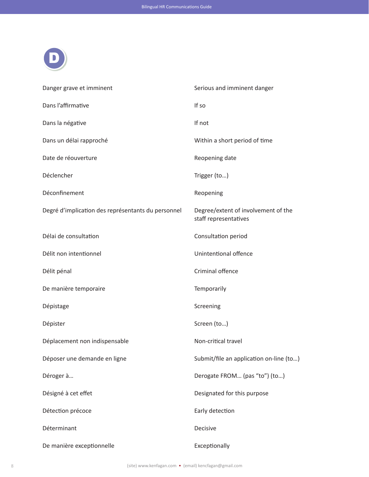

| Danger grave et imminent                           | Serious and imminent danger                                  |
|----------------------------------------------------|--------------------------------------------------------------|
| Dans l'affirmative                                 | If so                                                        |
| Dans la négative                                   | If not                                                       |
| Dans un délai rapproché                            | Within a short period of time                                |
| Date de réouverture                                | Reopening date                                               |
| Déclencher                                         | Trigger (to)                                                 |
| Déconfinement                                      | Reopening                                                    |
| Degré d'implication des représentants du personnel | Degree/extent of involvement of the<br>staff representatives |
| Délai de consultation                              | Consultation period                                          |
| Délit non intentionnel                             | Unintentional offence                                        |
| Délit pénal                                        | Criminal offence                                             |
| De manière temporaire                              | Temporarily                                                  |
| Dépistage                                          | Screening                                                    |
| Dépister                                           | Screen (to)                                                  |
| Déplacement non indispensable                      | Non-critical travel                                          |
| Déposer une demande en ligne                       | Submit/file an application on-line (to)                      |
| Déroger à                                          | Derogate FROM (pas "to") (to)                                |
| Désigné à cet effet                                | Designated for this purpose                                  |
| Détection précoce                                  | Early detection                                              |
| Déterminant                                        | Decisive                                                     |
| De manière exceptionnelle                          | Exceptionally                                                |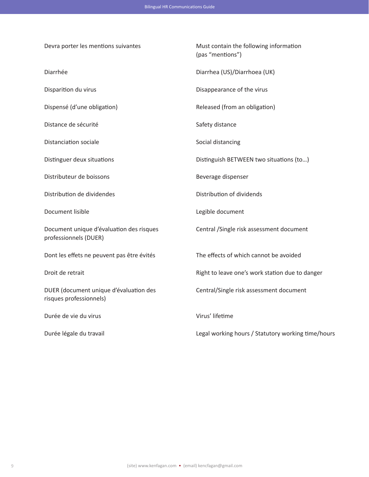Devra porter les mentions suivantes Must contain the following information (pas "mentions") Diarrhée Diarrhea (US)/Diarrhoea (UK) Disparition du virus **Disparition** du virus **Disappearance** of the virus Dispensé (d'une obligation) Released (from an obligation) Distance de sécurité du second de securité de second de la Safety distance du Safety distance Distanciation sociale **Social distancing** Social distancing Distinguer deux situations Distinguish BETWEEN two situations (to…) Distributeur de boissons and a series of the Beverage dispenser Distribution de dividendes Distribution of dividends Document lisible and the Legible document lisible Document unique d'évaluation des risques Central /Single risk assessment document professionnels (DUER) Dont les effets ne peuvent pas être évités The effects of which cannot be avoided Droit de retrait **Right to leave one's work station due to danger** Right to leave one's work station due to danger DUER (document unique d'évaluation des Central/Single risk assessment document risques professionnels) Durée de vie du virus virus virus' lifetime

Bilingual HR Communications Guide

Durée légale du travail **Legal working hours / Statutory working time/hours** Legal working hours / Statutory working time/hours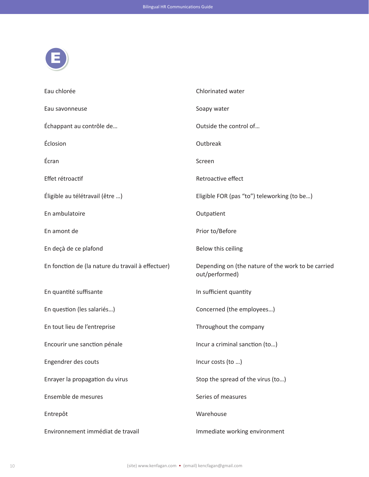

| Eau chlorée                                       | Chlorinated water                                                    |
|---------------------------------------------------|----------------------------------------------------------------------|
| Eau savonneuse                                    | Soapy water                                                          |
| Échappant au contrôle de                          | Outside the control of                                               |
| Éclosion                                          | Outbreak                                                             |
| Écran                                             | Screen                                                               |
| Effet rétroactif                                  | Retroactive effect                                                   |
| Éligible au télétravail (être )                   | Eligible FOR (pas "to") teleworking (to be)                          |
| En ambulatoire                                    | Outpatient                                                           |
| En amont de                                       | Prior to/Before                                                      |
| En deçà de ce plafond                             | Below this ceiling                                                   |
| En fonction de (la nature du travail à effectuer) | Depending on (the nature of the work to be carried<br>out/performed) |
| En quantité suffisante                            | In sufficient quantity                                               |
| En question (les salariés)                        | Concerned (the employees)                                            |
| En tout lieu de l'entreprise                      | Throughout the company                                               |
| Encourir une sanction pénale                      | Incur a criminal sanction (to)                                       |
| Engendrer des couts                               | Incur costs (to )                                                    |
| Enrayer la propagation du virus                   | Stop the spread of the virus (to)                                    |
| Ensemble de mesures                               | Series of measures                                                   |
| Entrepôt                                          | Warehouse                                                            |
| Environnement immédiat de travail                 | Immediate working environment                                        |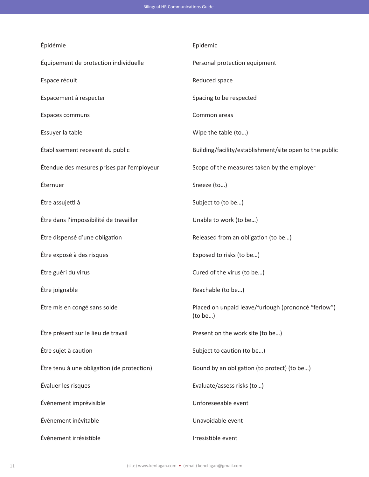| Épidémie                                   | Epidemic                                                       |
|--------------------------------------------|----------------------------------------------------------------|
| Équipement de protection individuelle      | Personal protection equipment                                  |
| Espace réduit                              | Reduced space                                                  |
| Espacement à respecter                     | Spacing to be respected                                        |
| Espaces communs                            | Common areas                                                   |
| Essuyer la table                           | Wipe the table (to)                                            |
| Établissement recevant du public           | Building/facility/establishment/site open to the public        |
| Étendue des mesures prises par l'employeur | Scope of the measures taken by the employer                    |
| Éternuer                                   | Sneeze (to)                                                    |
| Être assujetti à                           | Subject to (to be)                                             |
| Être dans l'impossibilité de travailler    | Unable to work (to be)                                         |
| Être dispensé d'une obligation             | Released from an obligation (to be)                            |
| Être exposé à des risques                  | Exposed to risks (to be)                                       |
| Être guéri du virus                        | Cured of the virus (to be)                                     |
| Être joignable                             | Reachable (to be)                                              |
| Être mis en congé sans solde               | Placed on unpaid leave/furlough (prononcé "ferlow")<br>(to be) |
| Être présent sur le lieu de travail        | Present on the work site (to be)                               |
| Être sujet à caution                       | Subject to caution (to be)                                     |
| Être tenu à une obligation (de protection) | Bound by an obligation (to protect) (to be)                    |
| Évaluer les risques                        | Evaluate/assess risks (to)                                     |
| Évènement imprévisible                     | Unforeseeable event                                            |
| Évènement inévitable                       | Unavoidable event                                              |
| Évènement irrésistible                     | Irresistible event                                             |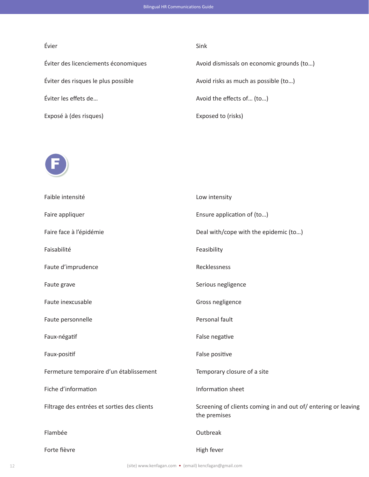## Évier Sink

Éviter des risques le plus possible  $\qquad \qquad \text{Avoid risks as much as possible (to...)}$ Éviter les effets de… Avoid the effects of… (to…)

Bilingual HR Communications Guide

Éviter des licenciements économiques Avoid dismissals on economic grounds (to…) Exposé à (des risques) Exposed to (risks)



| Faible intensité                            | Low intensity                                                                 |
|---------------------------------------------|-------------------------------------------------------------------------------|
| Faire appliquer                             | Ensure application of (to)                                                    |
| Faire face à l'épidémie                     | Deal with/cope with the epidemic (to)                                         |
| Faisabilité                                 | Feasibility                                                                   |
| Faute d'imprudence                          | Recklessness                                                                  |
| Faute grave                                 | Serious negligence                                                            |
| Faute inexcusable                           | Gross negligence                                                              |
| Faute personnelle                           | Personal fault                                                                |
| Faux-négatif                                | False negative                                                                |
| Faux-positif                                | False positive                                                                |
| Fermeture temporaire d'un établissement     | Temporary closure of a site                                                   |
| Fiche d'information                         | Information sheet                                                             |
| Filtrage des entrées et sorties des clients | Screening of clients coming in and out of/entering or leaving<br>the premises |
| Flambée                                     | Outbreak                                                                      |
| Forte fièvre                                | High fever                                                                    |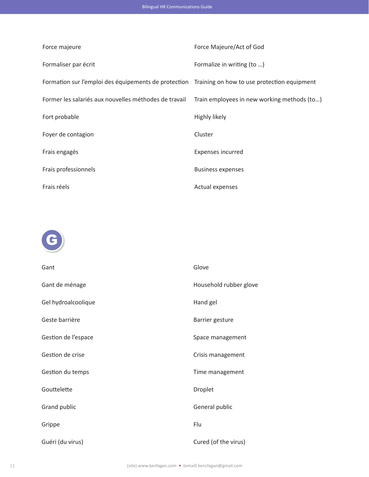| Force majeure                                                                                    | Force Majeure/Act of God                    |
|--------------------------------------------------------------------------------------------------|---------------------------------------------|
| Formaliser par écrit                                                                             | Formalize in writing (to )                  |
| Formation sur l'emploi des équipements de protection Training on how to use protection equipment |                                             |
| Former les salariés aux nouvelles méthodes de travail                                            | Train employees in new working methods (to) |
| Fort probable                                                                                    | Highly likely                               |
| Foyer de contagion                                                                               | Cluster                                     |
| Frais engagés                                                                                    | Expenses incurred                           |
| Frais professionnels                                                                             | <b>Business expenses</b>                    |
| Frais réels                                                                                      | <b>Actual expenses</b>                      |



| Gant                | Glove                  |
|---------------------|------------------------|
| Gant de ménage      | Household rubber glove |
| Gel hydroalcoolique | Hand gel               |
| Geste barrière      | Barrier gesture        |
| Gestion de l'espace | Space management       |
| Gestion de crise    | Crisis management      |
| Gestion du temps    | Time management        |
| Gouttelette         | Droplet                |
| Grand public        | General public         |
| Grippe              | Flu                    |
| Guéri (du virus)    | Cured (of the virus)   |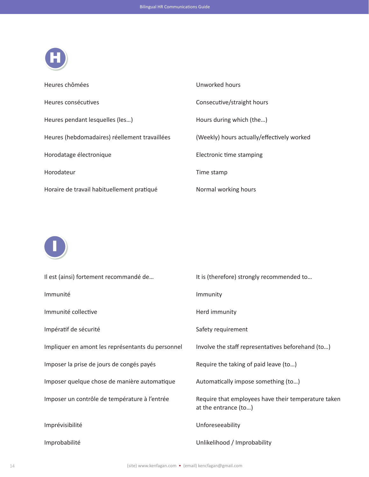

| Heures chômées                                | Unworked hours                             |
|-----------------------------------------------|--------------------------------------------|
| Heures consécutives                           | Consecutive/straight hours                 |
| Heures pendant lesquelles (les)               | Hours during which (the)                   |
| Heures (hebdomadaires) réellement travaillées | (Weekly) hours actually/effectively worked |
| Horodatage électronique                       | Electronic time stamping                   |
| Horodateur                                    | Time stamp                                 |
| Horaire de travail habituellement pratiqué    | Normal working hours                       |



| Il est (ainsi) fortement recommandé de            | It is (therefore) strongly recommended to                                   |
|---------------------------------------------------|-----------------------------------------------------------------------------|
| Immunité                                          | Immunity                                                                    |
| Immunité collective                               | Herd immunity                                                               |
| Impératif de sécurité                             | Safety requirement                                                          |
| Impliquer en amont les représentants du personnel | Involve the staff representatives beforehand (to)                           |
| Imposer la prise de jours de congés payés         | Require the taking of paid leave (to)                                       |
| Imposer quelque chose de manière automatique      | Automatically impose something (to)                                         |
| Imposer un contrôle de température à l'entrée     | Require that employees have their temperature taken<br>at the entrance (to) |
| Imprévisibilité                                   | Unforeseeability                                                            |
| Improbabilité                                     | Unlikelihood / Improbability                                                |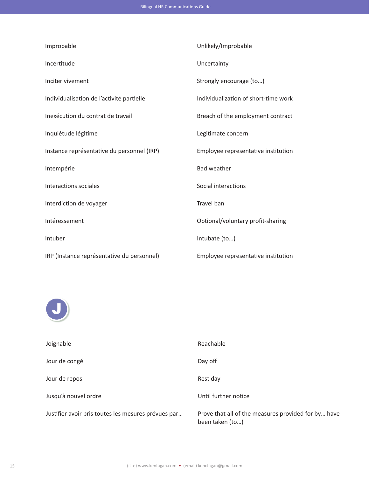| Improbable                                 | Unlikely/Improbable                  |
|--------------------------------------------|--------------------------------------|
| Incertitude                                | Uncertainty                          |
| Inciter vivement                           | Strongly encourage (to)              |
| Individualisation de l'activité partielle  | Individualization of short-time work |
| Inexécution du contrat de travail          | Breach of the employment contract    |
| Inquiétude légitime                        | Legitimate concern                   |
| Instance représentative du personnel (IRP) | Employee representative institution  |
| Intempérie                                 | <b>Bad weather</b>                   |
| Interactions sociales                      | Social interactions                  |
| Interdiction de voyager                    | Travel ban                           |
| Intéressement                              | Optional/voluntary profit-sharing    |
| Intuber                                    | Intubate (to)                        |
| IRP (Instance représentative du personnel) | Employee representative institution  |



| Joignable                                           | Reachable                                                              |
|-----------------------------------------------------|------------------------------------------------------------------------|
| Jour de congé                                       | Day off                                                                |
| Jour de repos                                       | Rest day                                                               |
| Jusqu'à nouvel ordre                                | Until further notice                                                   |
| Justifier avoir pris toutes les mesures prévues par | Prove that all of the measures provided for by have<br>been taken (to) |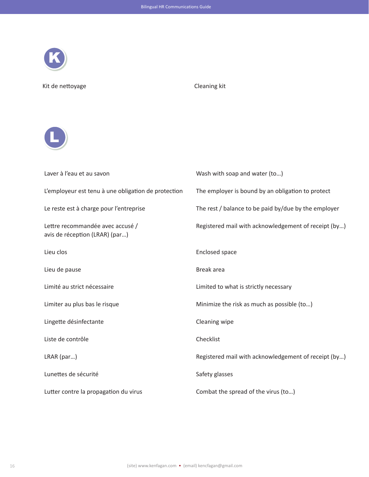

Kit de nettoyage Cleaning kit



| Laver à l'eau et au savon                                          | Wash with soap and water (to)                        |
|--------------------------------------------------------------------|------------------------------------------------------|
| L'employeur est tenu à une obligation de protection                | The employer is bound by an obligation to protect    |
| Le reste est à charge pour l'entreprise                            | The rest / balance to be paid by/due by the employer |
| Lettre recommandée avec accusé /<br>avis de réception (LRAR) (par) | Registered mail with acknowledgement of receipt (by) |
| Lieu clos                                                          | <b>Enclosed space</b>                                |
| Lieu de pause                                                      | Break area                                           |
| Limité au strict nécessaire                                        | Limited to what is strictly necessary                |
| Limiter au plus bas le risque                                      | Minimize the risk as much as possible (to)           |
| Lingette désinfectante                                             | Cleaning wipe                                        |
| Liste de contrôle                                                  | Checklist                                            |
| LRAR (par)                                                         | Registered mail with acknowledgement of receipt (by) |
| Lunettes de sécurité                                               | Safety glasses                                       |
| Lutter contre la propagation du virus                              | Combat the spread of the virus (to)                  |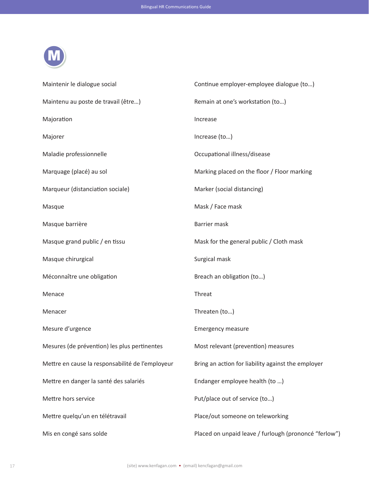| Maintenir le dialogue social                     | Continue employer-employee dialogue (to)              |
|--------------------------------------------------|-------------------------------------------------------|
| Maintenu au poste de travail (être)              | Remain at one's workstation (to)                      |
| Majoration                                       | Increase                                              |
| Majorer                                          | Increase (to)                                         |
| Maladie professionnelle                          | Occupational illness/disease                          |
| Marquage (placé) au sol                          | Marking placed on the floor / Floor marking           |
| Marqueur (distanciation sociale)                 | Marker (social distancing)                            |
| Masque                                           | Mask / Face mask                                      |
| Masque barrière                                  | <b>Barrier mask</b>                                   |
| Masque grand public / en tissu                   | Mask for the general public / Cloth mask              |
| Masque chirurgical                               | Surgical mask                                         |
| Méconnaître une obligation                       | Breach an obligation (to)                             |
| Menace                                           | Threat                                                |
| Menacer                                          | Threaten (to)                                         |
| Mesure d'urgence                                 | <b>Emergency measure</b>                              |
| Mesures (de prévention) les plus pertinentes     | Most relevant (prevention) measures                   |
| Mettre en cause la responsabilité de l'employeur | Bring an action for liability against the employer    |
| Mettre en danger la santé des salariés           | Endanger employee health (to )                        |
| Mettre hors service                              | Put/place out of service (to)                         |
| Mettre quelqu'un en télétravail                  | Place/out someone on teleworking                      |
| Mis en congé sans solde                          | Placed on unpaid leave / furlough (prononcé "ferlow") |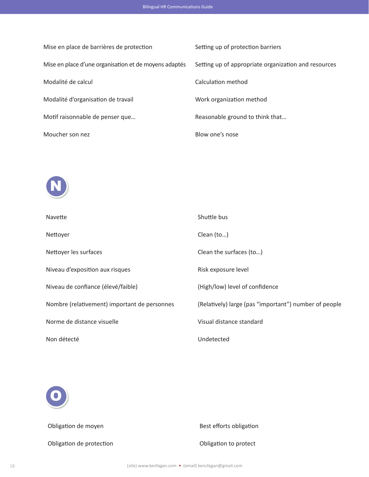| Mise en place de barrières de protection              | Setting up of protection barriers                    |
|-------------------------------------------------------|------------------------------------------------------|
| Mise en place d'une organisation et de moyens adaptés | Setting up of appropriate organization and resources |
| Modalité de calcul                                    | Calculation method                                   |
| Modalité d'organisation de travail                    | Work organization method                             |
| Motif raisonnable de penser que                       | Reasonable ground to think that                      |
| Moucher son nez                                       | Blow one's nose                                      |



| Navette                                      | Shuttle bus                                           |
|----------------------------------------------|-------------------------------------------------------|
| Nettoyer                                     | Clean (to)                                            |
| Nettoyer les surfaces                        | Clean the surfaces (to)                               |
| Niveau d'exposition aux risques              | Risk exposure level                                   |
| Niveau de confiance (élevé/faible)           | (High/low) level of confidence                        |
| Nombre (relativement) important de personnes | (Relatively) large (pas "important") number of people |
| Norme de distance visuelle                   | Visual distance standard                              |
| Non détecté                                  | Undetected                                            |



Obligation de protection and a control of Collection Collection Collection Collection Collection Collection Collection Collection Collection Collection Collection Collection Collection Collection Collection Collection Coll

Obligation de moyen by a set efforts obligation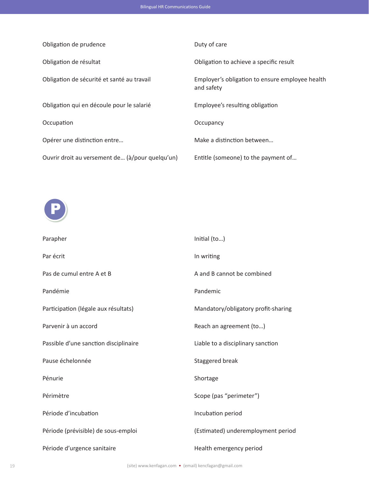|  | <b>Bilingual HR Communications Guide</b> |  |
|--|------------------------------------------|--|
|--|------------------------------------------|--|

| Obligation de prudence                          | Duty of care                                                  |
|-------------------------------------------------|---------------------------------------------------------------|
| Obligation de résultat                          | Obligation to achieve a specific result                       |
| Obligation de sécurité et santé au travail      | Employer's obligation to ensure employee health<br>and safety |
| Obligation qui en découle pour le salarié       | Employee's resulting obligation                               |
| Occupation                                      | Occupancy                                                     |
| Opérer une distinction entre                    | Make a distinction between                                    |
| Ouvrir droit au versement de (à/pour quelqu'un) | Entitle (someone) to the payment of                           |
|                                                 |                                                               |



| Parapher                              | Initial (to)                        |
|---------------------------------------|-------------------------------------|
| Par écrit                             | In writing                          |
| Pas de cumul entre A et B             | A and B cannot be combined          |
| Pandémie                              | Pandemic                            |
| Participation (légale aux résultats)  | Mandatory/obligatory profit-sharing |
| Parvenir à un accord                  | Reach an agreement (to)             |
| Passible d'une sanction disciplinaire | Liable to a disciplinary sanction   |
| Pause échelonnée                      | Staggered break                     |
| Pénurie                               | Shortage                            |
| Périmètre                             | Scope (pas "perimeter")             |
| Période d'incubation                  | Incubation period                   |
| Période (prévisible) de sous-emploi   | (Estimated) underemployment period  |
| Période d'urgence sanitaire           | Health emergency period             |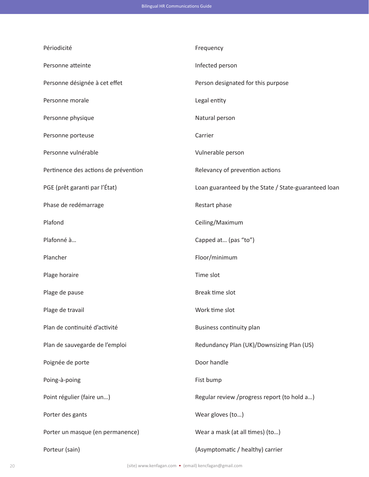| Périodicité                          | Frequency                                            |
|--------------------------------------|------------------------------------------------------|
| Personne atteinte                    | Infected person                                      |
| Personne désignée à cet effet        | Person designated for this purpose                   |
| Personne morale                      | Legal entity                                         |
| Personne physique                    | Natural person                                       |
| Personne porteuse                    | Carrier                                              |
| Personne vulnérable                  | Vulnerable person                                    |
| Pertinence des actions de prévention | Relevancy of prevention actions                      |
| PGE (prêt garanti par l'État)        | Loan guaranteed by the State / State-guaranteed loan |
| Phase de redémarrage                 | Restart phase                                        |
| Plafond                              | Ceiling/Maximum                                      |
| Plafonné à                           | Capped at (pas "to")                                 |
| Plancher                             | Floor/minimum                                        |
| Plage horaire                        | Time slot                                            |
| Plage de pause                       | Break time slot                                      |
| Plage de travail                     | Work time slot                                       |
| Plan de continuité d'activité        | Business continuity plan                             |
| Plan de sauvegarde de l'emploi       | Redundancy Plan (UK)/Downsizing Plan (US)            |
| Poignée de porte                     | Door handle                                          |
| Poing-à-poing                        | Fist bump                                            |
| Point régulier (faire un)            | Regular review /progress report (to hold a)          |
| Porter des gants                     | Wear gloves (to)                                     |
| Porter un masque (en permanence)     | Wear a mask (at all times) (to)                      |
| Porteur (sain)                       | (Asymptomatic / healthy) carrier                     |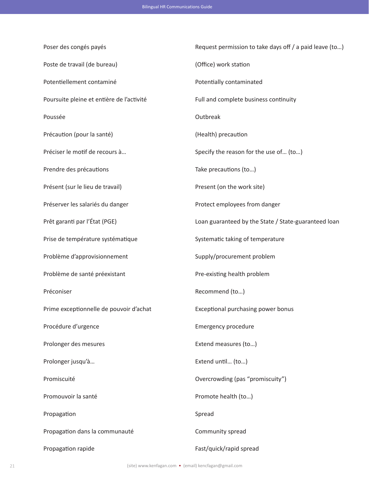Poser des congés payés **Request permission to take days off / a paid leave (to...)** Poste de travail (de bureau) (Office) work station Potentiellement contaminé **Potentially contaminated** Poursuite pleine et entière de l'activité Full and complete business continuity Poussée **Outbreak** Précaution (pour la santé) (Health) precaution Préciser le motif de recours à… Specify the reason for the use of… (to…) Prendre des précautions  $\qquad \qquad$  Take precautions (to...) Présent (sur le lieu de travail) Present (on the work site) Préserver les salariés du danger en entre protect employees from danger Prêt garanti par l'État (PGE) Casas de loan guaranteed by the State / State-guaranteed loan Prise de température systématique subsetion de la Systematic taking of temperature Problème d'approvisionnement supply/procurement problem Problème de santé préexistant en existing problement problement problement problement problement problement pro Préconiser Recommend (to...) Prime exceptionnelle de pouvoir d'achat Exceptional purchasing power bonus Procédure d'urgence en entre la comme de la contraste de la contraste Emergency procedure Prolonger des mesures **Extend measures** (to...) Prolonger jusqu'à... extend until ... (to...) Promiscuité Overcrowding (pas "promiscuity") Promouvoir la santé Promote health (to...) Propagation Spread Propagation dans la communauté Community spread Propagation rapide Fast/quick/rapid spread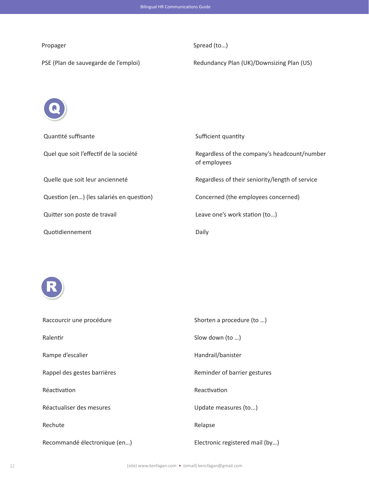Propager Spread (to...)

PSE (Plan de sauvegarde de l'emploi) Redundancy Plan (UK)/Downsizing Plan (US)



| Quantité suffisante                      | Sufficient quantity                                          |
|------------------------------------------|--------------------------------------------------------------|
| Quel que soit l'effectif de la société   | Regardless of the company's headcount/number<br>of employees |
| Quelle que soit leur ancienneté          | Regardless of their seniority/length of service              |
| Question (en) (les salariés en question) | Concerned (the employees concerned)                          |
| Quitter son poste de travail             | Leave one's work station (to)                                |
| Quotidiennement                          | Daily                                                        |



| Raccourcir une procédure     | Shorten a procedure (to )       |
|------------------------------|---------------------------------|
| Ralentir                     | Slow down (to )                 |
| Rampe d'escalier             | Handrail/banister               |
| Rappel des gestes barrières  | Reminder of barrier gestures    |
| Réactivation                 | Reactivation                    |
| Réactualiser des mesures     | Update measures (to)            |
| Rechute                      | Relapse                         |
| Recommandé électronique (en) | Electronic registered mail (by) |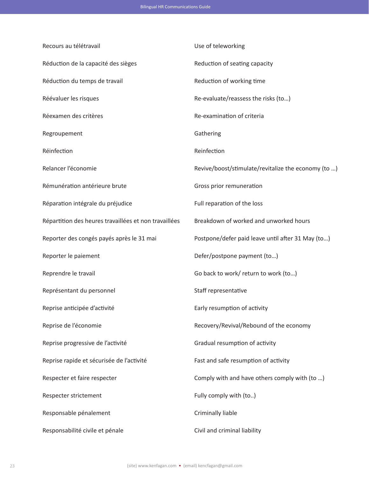| Recours au télétravail                                | Use of teleworking                                  |
|-------------------------------------------------------|-----------------------------------------------------|
| Réduction de la capacité des sièges                   | Reduction of seating capacity                       |
| Réduction du temps de travail                         | Reduction of working time                           |
| Réévaluer les risques                                 | Re-evaluate/reassess the risks (to)                 |
| Réexamen des critères                                 | Re-examination of criteria                          |
| Regroupement                                          | Gathering                                           |
| Réinfection                                           | Reinfection                                         |
| Relancer l'économie                                   | Revive/boost/stimulate/revitalize the economy (to ) |
| Rémunération antérieure brute                         | Gross prior remuneration                            |
| Réparation intégrale du préjudice                     | Full reparation of the loss                         |
| Répartition des heures travaillées et non travaillées | Breakdown of worked and unworked hours              |
| Reporter des congés payés après le 31 mai             | Postpone/defer paid leave until after 31 May (to)   |
| Reporter le paiement                                  | Defer/postpone payment (to)                         |
| Reprendre le travail                                  | Go back to work/ return to work (to)                |
| Représentant du personnel                             | Staff representative                                |
| Reprise anticipée d'activité                          | Early resumption of activity                        |
| Reprise de l'économie                                 | Recovery/Revival/Rebound of the economy             |
| Reprise progressive de l'activité                     | Gradual resumption of activity                      |
| Reprise rapide et sécurisée de l'activité             | Fast and safe resumption of activity                |
| Respecter et faire respecter                          | Comply with and have others comply with (to )       |
| Respecter strictement                                 | Fully comply with (to)                              |
| Responsable pénalement                                | Criminally liable                                   |
| Responsabilité civile et pénale                       | Civil and criminal liability                        |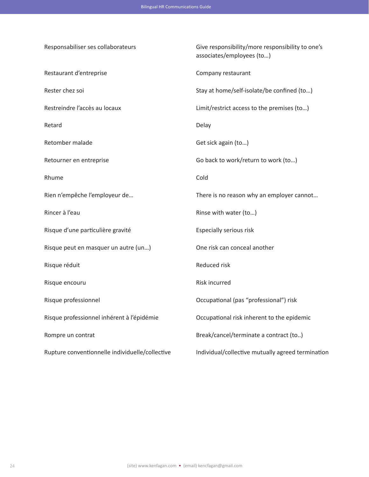Responsabiliser ses collaborateurs Give responsibility/more responsibility to one's associates/employees (to…) Restaurant d'entreprise company restaurant Rester chez soi Stay at home/self-isolate/be confined (to...) Restreindre l'accès au locaux Limit/restrict access to the premises (to…) Retard **Delay** Retomber malade Get sick again (to...) Retourner en entreprise entertainment of the Go back to work/return to work (to...) Rhume **Cold** Rien n'empêche l'employeur de… There is no reason why an employer cannot… Rincer à l'eau  $\blacksquare$  and  $\blacksquare$  are  $\blacksquare$  and  $\blacksquare$  are  $\blacksquare$  and  $\blacksquare$  are  $\blacksquare$  and  $\blacksquare$  are  $\blacksquare$  and  $\blacksquare$  are  $\blacksquare$  and  $\blacksquare$  are  $\blacksquare$  and  $\blacksquare$  are  $\blacksquare$  and  $\blacksquare$  are  $\blacksquare$  and  $\blacksquare$  are  $\blacksquare$  an Risque d'une particulière gravité en entre la respecially serious risk Risque peut en masquer un autre (un…) One risk can conceal another Risque réduit d'autres de la comme de la comme de la Reduced risk Risque encouru and a control control and a control Risk incurred Risque professionnel Occupational (pas "professional") risk Risque professionnel inhérent à l'épidémie Occupational risk inherent to the epidemic Rompre un contrat and a contract (to..) Rupture conventionnelle individuelle/collective Individual/collective mutually agreed termination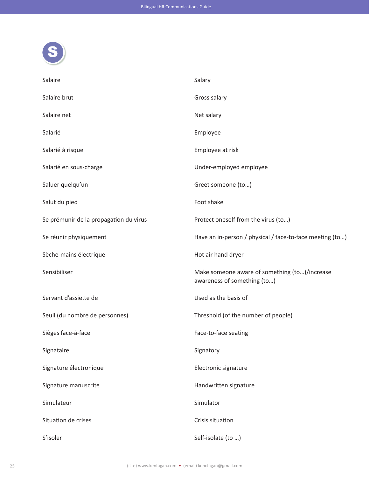

| Salaire                                | Salary                                                                       |
|----------------------------------------|------------------------------------------------------------------------------|
| Salaire brut                           | Gross salary                                                                 |
| Salaire net                            | Net salary                                                                   |
| Salarié                                | Employee                                                                     |
| Salarié à risque                       | Employee at risk                                                             |
| Salarié en sous-charge                 | Under-employed employee                                                      |
| Saluer quelqu'un                       | Greet someone (to)                                                           |
| Salut du pied                          | Foot shake                                                                   |
| Se prémunir de la propagation du virus | Protect oneself from the virus (to)                                          |
| Se réunir physiquement                 | Have an in-person / physical / face-to-face meeting (to)                     |
| Sèche-mains électrique                 | Hot air hand dryer                                                           |
| Sensibiliser                           | Make someone aware of something (to)/increase<br>awareness of something (to) |
| Servant d'assiette de                  | Used as the basis of                                                         |
| Seuil (du nombre de personnes)         | Threshold (of the number of people)                                          |
| Sièges face-à-face                     | Face-to-face seating                                                         |
| Signataire                             | Signatory                                                                    |
| Signature électronique                 | Electronic signature                                                         |
| Signature manuscrite                   | Handwritten signature                                                        |
| Simulateur                             | Simulator                                                                    |
| Situation de crises                    | Crisis situation                                                             |
| S'isoler                               | Self-isolate (to )                                                           |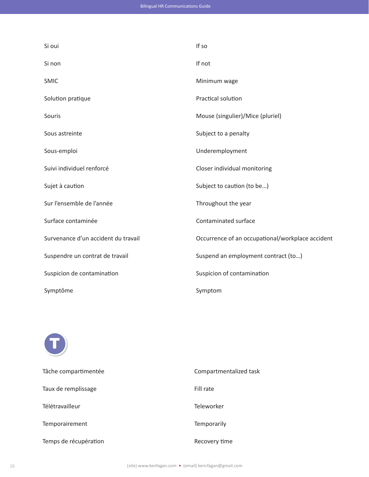| Si oui                              | If so                                            |
|-------------------------------------|--------------------------------------------------|
| Si non                              | If not                                           |
| <b>SMIC</b>                         | Minimum wage                                     |
| Solution pratique                   | Practical solution                               |
| Souris                              | Mouse (singulier)/Mice (pluriel)                 |
| Sous astreinte                      | Subject to a penalty                             |
| Sous-emploi                         | Underemployment                                  |
| Suivi individuel renforcé           | Closer individual monitoring                     |
| Sujet à caution                     | Subject to caution (to be)                       |
| Sur l'ensemble de l'année           | Throughout the year                              |
| Surface contaminée                  | Contaminated surface                             |
| Survenance d'un accident du travail | Occurrence of an occupational/workplace accident |
| Suspendre un contrat de travail     | Suspend an employment contract (to)              |
| Suspicion de contamination          | Suspicion of contamination                       |
| Symptôme                            | Symptom                                          |



| Tâche compartimentée  | Compartmentalized task |
|-----------------------|------------------------|
| Taux de remplissage   | Fill rate              |
| Télétravailleur       | Teleworker             |
| Temporairement        | Temporarily            |
| Temps de récupération | Recovery time          |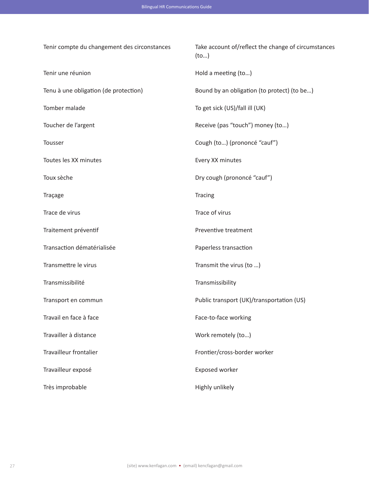| Tenir compte du changement des circonstances | Take account of/reflect the change of circumstances<br>(to) |
|----------------------------------------------|-------------------------------------------------------------|
| Tenir une réunion                            | Hold a meeting (to)                                         |
| Tenu à une obligation (de protection)        | Bound by an obligation (to protect) (to be)                 |
| Tomber malade                                | To get sick (US)/fall ill (UK)                              |
| Toucher de l'argent                          | Receive (pas "touch") money (to)                            |
| Tousser                                      | Cough (to) (prononcé "cauf")                                |
| Toutes les XX minutes                        | Every XX minutes                                            |
| Toux sèche                                   | Dry cough (prononcé "cauf")                                 |
| Traçage                                      | Tracing                                                     |
| Trace de virus                               | Trace of virus                                              |
| Traitement préventif                         | Preventive treatment                                        |
| Transaction dématérialisée                   | Paperless transaction                                       |
| Transmettre le virus                         | Transmit the virus (to )                                    |
| Transmissibilité                             | Transmissibility                                            |
| Transport en commun                          | Public transport (UK)/transportation (US)                   |
| Travail en face à face                       | Face-to-face working                                        |
| Travailler à distance                        | Work remotely (to)                                          |
| <b>Travailleur frontalier</b>                | Frontier/cross-border worker                                |
| Travailleur exposé                           | Exposed worker                                              |
| Très improbable                              | Highly unlikely                                             |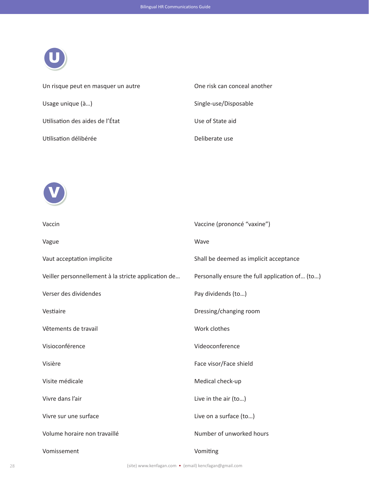

| Un risque peut en masquer un autre | One risk can conceal another |
|------------------------------------|------------------------------|
| Usage unique (à)                   | Single-use/Disposable        |
| Utilisation des aides de l'État    | Use of State aid             |
| Utilisation délibérée              | Deliberate use               |



| Vaccin                                              | Vaccine (prononcé "vaxine")                    |
|-----------------------------------------------------|------------------------------------------------|
| Vague                                               | Wave                                           |
| Vaut acceptation implicite                          | Shall be deemed as implicit acceptance         |
| Veiller personnellement à la stricte application de | Personally ensure the full application of (to) |
| Verser des dividendes                               | Pay dividends (to)                             |
| Vestiaire                                           | Dressing/changing room                         |
| Vêtements de travail                                | Work clothes                                   |
| Visioconférence                                     | Videoconference                                |
| Visière                                             | Face visor/Face shield                         |
| Visite médicale                                     | Medical check-up                               |
| Vivre dans l'air                                    | Live in the air (to)                           |
| Vivre sur une surface                               | Live on a surface (to)                         |
| Volume horaire non travaillé                        | Number of unworked hours                       |
| Vomissement                                         | Vomiting                                       |